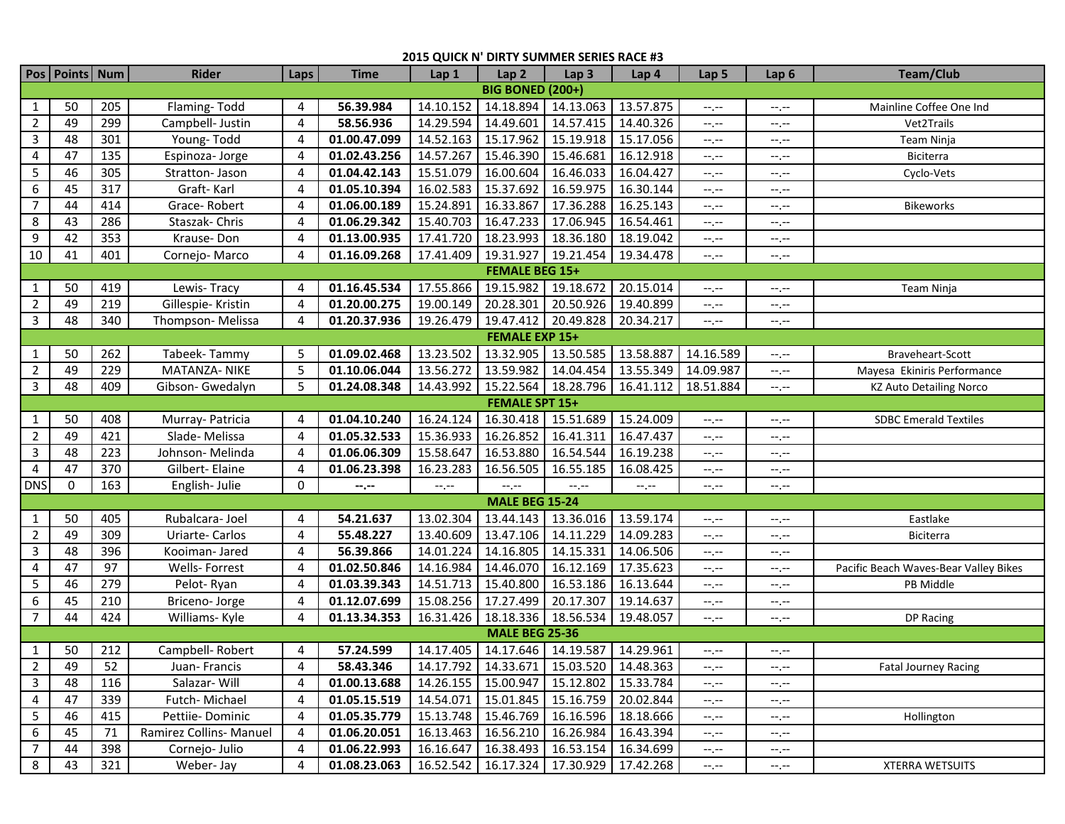## **2015 QUICK N' DIRTY SUMMER SERIES RACE #3**

|                         | Pos Points Num        |     | <b>Rider</b>            | Laps           | <b>Time</b>  | Lap 1     | Lap <sub>2</sub>      | Lap <sub>3</sub>                              | Lap 4     | Lap <sub>5</sub>            | Lap <sub>6</sub> | <b>Team/Club</b>                      |
|-------------------------|-----------------------|-----|-------------------------|----------------|--------------|-----------|-----------------------|-----------------------------------------------|-----------|-----------------------------|------------------|---------------------------------------|
| <b>BIG BONED (200+)</b> |                       |     |                         |                |              |           |                       |                                               |           |                             |                  |                                       |
| $\mathbf{1}$            | 50                    | 205 | Flaming-Todd            | 4              | 56.39.984    | 14.10.152 |                       | 14.18.894 14.13.063                           | 13.57.875 | --.--                       | --.--            | Mainline Coffee One Ind               |
| $\overline{2}$          | 49                    | 299 | Campbell- Justin        | 4              | 58.56.936    | 14.29.594 | 14.49.601             | 14.57.415                                     | 14.40.326 | $-1, -1$                    | --.--            | Vet2Trails                            |
| $\mathbf{3}$            | 48                    | 301 | Young-Todd              | 4              | 01.00.47.099 | 14.52.163 | 15.17.962             | 15.19.918                                     | 15.17.056 | $-1, -1$                    | --.--            | Team Ninja                            |
| 4                       | 47                    | 135 | Espinoza-Jorge          | $\overline{4}$ | 01.02.43.256 | 14.57.267 | 15.46.390             | 15.46.681                                     | 16.12.918 | $\leftarrow$ , $\leftarrow$ | $-1$ . $-1$      | Biciterra                             |
| 5                       | 46                    | 305 | Stratton- Jason         | $\overline{4}$ | 01.04.42.143 | 15.51.079 | 16.00.604             | 16.46.033                                     | 16.04.427 | $-1, -1$                    | $-1, -1$         | Cyclo-Vets                            |
| 6                       | 45                    | 317 | Graft-Karl              | $\overline{4}$ | 01.05.10.394 | 16.02.583 | 15.37.692             | 16.59.975                                     | 16.30.144 | $--, --$                    | $-1$ . $-1$      |                                       |
| $\overline{7}$          | 44                    | 414 | Grace-Robert            | 4              | 01.06.00.189 | 15.24.891 | 16.33.867             | 17.36.288                                     | 16.25.143 | $-1, -1$                    | $-1, -1$         | <b>Bikeworks</b>                      |
| 8                       | 43                    | 286 | Staszak-Chris           | 4              | 01.06.29.342 | 15.40.703 | 16.47.233             | 17.06.945                                     | 16.54.461 | $-1, -1$                    | $-1$ , $-1$      |                                       |
| 9                       | 42                    | 353 | Krause-Don              | 4              | 01.13.00.935 | 17.41.720 | 18.23.993             | 18.36.180                                     | 18.19.042 | $-1$                        | $-1$ , $-1$      |                                       |
| 10                      | 41                    | 401 | Cornejo-Marco           | $\overline{4}$ | 01.16.09.268 | 17.41.409 | 19.31.927             | 19.21.454                                     | 19.34.478 | $-1, -1$                    | $-1$ , $-1$      |                                       |
|                         | <b>FEMALE BEG 15+</b> |     |                         |                |              |           |                       |                                               |           |                             |                  |                                       |
| $\mathbf{1}$            | 50                    | 419 | Lewis-Tracy             | 4              | 01.16.45.534 | 17.55.866 |                       | 19.15.982 19.18.672                           | 20.15.014 | $--, --$                    | --.--            | Team Ninja                            |
| $\overline{2}$          | 49                    | 219 | Gillespie- Kristin      | 4              | 01.20.00.275 | 19.00.149 | 20.28.301             | 20.50.926                                     | 19.40.899 | $-1$                        | --.--            |                                       |
| $\mathbf{3}$            | 48                    | 340 | Thompson-Melissa        | $\overline{4}$ | 01.20.37.936 | 19.26.479 |                       | 19.47.412 20.49.828                           | 20.34.217 | $-1, -1$                    | --.--            |                                       |
|                         | <b>FEMALE EXP 15+</b> |     |                         |                |              |           |                       |                                               |           |                             |                  |                                       |
| $\mathbf{1}$            | 50                    | 262 | Tabeek-Tammy            | 5              | 01.09.02.468 | 13.23.502 |                       | 13.32.905 13.50.585                           | 13.58.887 | 14.16.589                   | --.--            | Braveheart-Scott                      |
| $\overline{2}$          | 49                    | 229 | <b>MATANZA- NIKE</b>    | 5              | 01.10.06.044 | 13.56.272 |                       | 13.59.982 14.04.454                           | 13.55.349 | 14.09.987                   | --.--            | Mayesa Ekiniris Performance           |
| $\mathbf{3}$            | 48                    | 409 | Gibson- Gwedalyn        | 5              | 01.24.08.348 | 14.43.992 |                       | 15.22.564 18.28.796                           | 16.41.112 | 18.51.884                   | $-1, -1$         | <b>KZ Auto Detailing Norco</b>        |
|                         | <b>FEMALE SPT 15+</b> |     |                         |                |              |           |                       |                                               |           |                             |                  |                                       |
| $\mathbf{1}$            | 50                    | 408 | Murray- Patricia        | 4              | 01.04.10.240 | 16.24.124 |                       | 16.30.418 15.51.689                           | 15.24.009 | $-1, -1$                    | $-1$             | <b>SDBC Emerald Textiles</b>          |
| $\overline{2}$          | 49                    | 421 | Slade-Melissa           | $\overline{4}$ | 01.05.32.533 | 15.36.933 | 16.26.852             | 16.41.311                                     | 16.47.437 | $-1$ , $-1$                 | $-1, -1$         |                                       |
| $\overline{3}$          | 48                    | 223 | Johnson-Melinda         | $\overline{4}$ | 01.06.06.309 | 15.58.647 | 16.53.880             | 16.54.544                                     | 16.19.238 | $-1, -1$                    | $-1, -1$         |                                       |
| $\overline{4}$          | 47                    | 370 | Gilbert-Elaine          | $\overline{4}$ | 01.06.23.398 | 16.23.283 | 16.56.505             | 16.55.185                                     | 16.08.425 | $-1, -1$                    | $-1, -1$         |                                       |
| <b>DNS</b>              | $\mathbf 0$           | 163 | English-Julie           | 0              | --.--        | $-1, -1$  | $-1, -1$              | $-\mathbb{I}, \mathbb{I}$                     | --.--     | $--, --$                    | --.--            |                                       |
|                         |                       |     |                         |                |              |           | <b>MALE BEG 15-24</b> |                                               |           |                             |                  |                                       |
| $\mathbf{1}$            | 50                    | 405 | Rubalcara-Joel          | 4              | 54.21.637    | 13.02.304 | 13.44.143             | 13.36.016                                     | 13.59.174 | $-1, -1$                    | --.--            | Eastlake                              |
| $\overline{2}$          | 49                    | 309 | Uriarte-Carlos          | 4              | 55.48.227    | 13.40.609 | 13.47.106             | 14.11.229                                     | 14.09.283 | $-1$                        | $-1$ . $-1$      | <b>Biciterra</b>                      |
| 3                       | 48                    | 396 | Kooiman-Jared           | 4              | 56.39.866    | 14.01.224 | 14.16.805             | 14.15.331                                     | 14.06.506 | $-1, -1$                    | --.--            |                                       |
| 4                       | 47                    | 97  | Wells-Forrest           | $\overline{4}$ | 01.02.50.846 | 14.16.984 |                       | 14.46.070 16.12.169                           | 17.35.623 | $-1, -1$                    | --.--            | Pacific Beach Waves-Bear Valley Bikes |
| 5                       | 46                    | 279 | Pelot-Ryan              | $\overline{4}$ | 01.03.39.343 | 14.51.713 | 15.40.800             | 16.53.186                                     | 16.13.644 | $-1, -1$                    | $-1, -1$         | PB Middle                             |
| $6\phantom{.}$          | 45                    | 210 | Briceno-Jorge           | 4              | 01.12.07.699 | 15.08.256 | 17.27.499             | 20.17.307                                     | 19.14.637 | $--, --$                    | $-1, -1$         |                                       |
| $\overline{7}$          | 44                    | 424 | Williams- Kyle          | 4              | 01.13.34.353 | 16.31.426 | 18.18.336             | 18.56.534                                     | 19.48.057 | $-1$ , $-1$                 | $-1, -1$         | DP Racing                             |
|                         |                       |     |                         |                |              |           | <b>MALE BEG 25-36</b> |                                               |           |                             |                  |                                       |
| $\mathbf{1}$            | 50                    | 212 | Campbell-Robert         | 4              | 57.24.599    | 14.17.405 |                       | 14.17.646 14.19.587                           | 14.29.961 | $-1, -1$                    | $--, --$         |                                       |
| $\overline{2}$          | 49                    | 52  | Juan-Francis            | 4              | 58.43.346    |           |                       | 14.17.792 14.33.671 15.03.520 14.48.363       |           | $-1 - 1 - 1 = 0$            | $-1 - 1 - 1 = 0$ | Fatal Journey Racing                  |
| 3                       | 48                    | 116 | Salazar-Will            | 4              | 01.00.13.688 |           |                       | 14.26.155   15.00.947   15.12.802   15.33.784 |           | $-1, -1$                    | $-1, -1$         |                                       |
| 4                       | 47                    | 339 | Futch-Michael           | 4              | 01.05.15.519 |           |                       | 14.54.071   15.01.845   15.16.759   20.02.844 |           | $--, --$                    | --.--            |                                       |
| 5                       | 46                    | 415 | Pettiie-Dominic         | 4              | 01.05.35.779 |           |                       | 15.13.748   15.46.769   16.16.596   18.18.666 |           | $-1, -1$                    | $-1, -1$         | Hollington                            |
| 6                       | 45                    | 71  | Ramirez Collins- Manuel | 4              | 01.06.20.051 |           |                       | 16.13.463   16.56.210   16.26.984   16.43.394 |           | $-1, -1$                    | --.--            |                                       |
| 7                       | 44                    | 398 | Cornejo- Julio          | 4              | 01.06.22.993 |           |                       | 16.16.647   16.38.493   16.53.154   16.34.699 |           | $-1, -1$                    | --.--            |                                       |
| 8                       | 43                    | 321 | Weber-Jay               | 4              | 01.08.23.063 |           |                       | 16.52.542   16.17.324   17.30.929   17.42.268 |           | $-1, -1$                    | $-1.1 - 1.0$     | <b>XTERRA WETSUITS</b>                |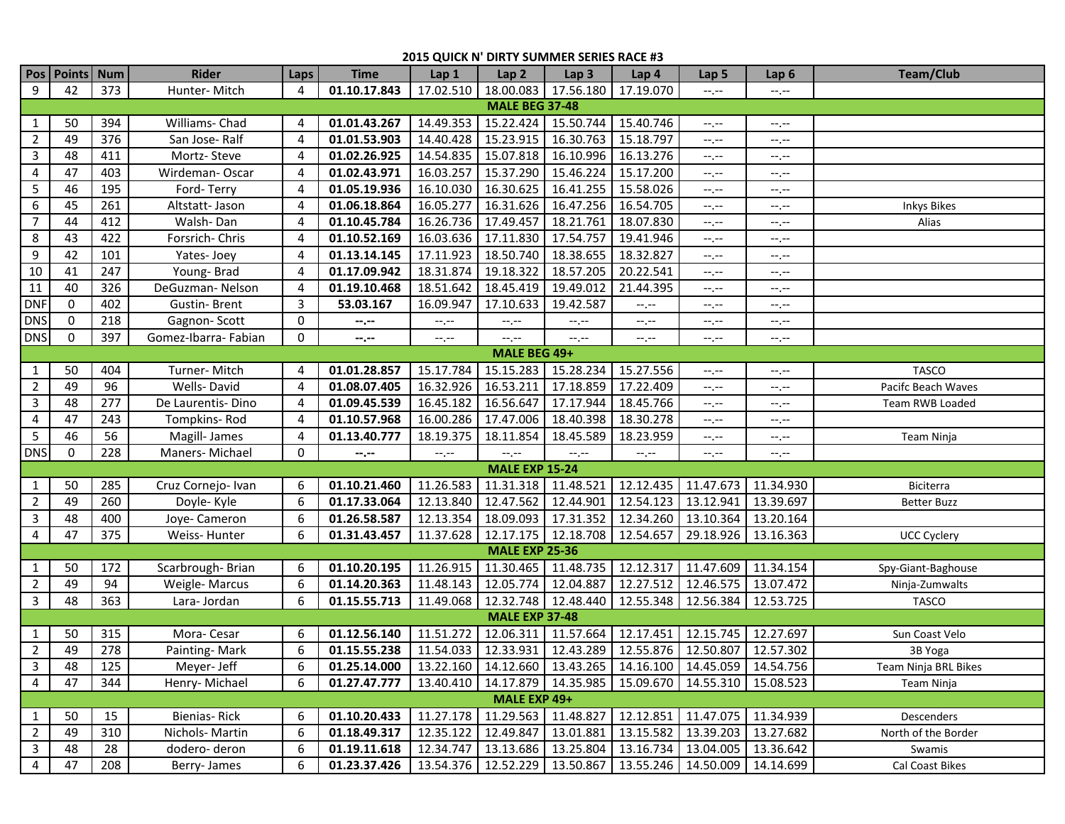## **2015 QUICK N' DIRTY SUMMER SERIES RACE #3**

|                       | Pos Points Num |     | <b>Rider</b>         | Laps           | <b>Time</b>                                                                          | Lap 1               | Lap <sub>2</sub>                  | Lap <sub>3</sub>                  | Lap <sub>4</sub>    | Lap <sub>5</sub>                                                      | Lap 6       | <b>Team/Club</b>     |
|-----------------------|----------------|-----|----------------------|----------------|--------------------------------------------------------------------------------------|---------------------|-----------------------------------|-----------------------------------|---------------------|-----------------------------------------------------------------------|-------------|----------------------|
| 9                     | 42             | 373 | Hunter-Mitch         | 4              | 01.10.17.843                                                                         |                     |                                   | 17.02.510   18.00.083   17.56.180 | 17.19.070           | $-1$                                                                  | --.--       |                      |
| <b>MALE BEG 37-48</b> |                |     |                      |                |                                                                                      |                     |                                   |                                   |                     |                                                                       |             |                      |
| $\mathbf{1}$          | 50             | 394 | Williams- Chad       | 4              | 01.01.43.267                                                                         | 14.49.353           | 15.22.424 15.50.744               |                                   | 15.40.746           | --.--                                                                 | $-1, -1$    |                      |
| $\overline{2}$        | 49             | 376 | San Jose-Ralf        | 4              | 01.01.53.903                                                                         | 14.40.428           | 15.23.915                         | 16.30.763                         | 15.18.797           | $-1$                                                                  | $-1, -1$    |                      |
| 3                     | 48             | 411 | Mortz-Steve          | 4              | 01.02.26.925                                                                         | 14.54.835           | 15.07.818                         | 16.10.996                         | 16.13.276           | $-1, -1$                                                              | $-1, -1$    |                      |
| $\overline{4}$        | 47             | 403 | Wirdeman-Oscar       | $\overline{4}$ | 01.02.43.971                                                                         | 16.03.257           | 15.37.290                         | 15.46.224                         | 15.17.200           | $-1, -1$                                                              | $-1, -1$    |                      |
| 5                     | 46             | 195 | Ford-Terry           | 4              | 01.05.19.936                                                                         | 16.10.030           | 16.30.625                         | 16.41.255                         | 15.58.026           | $-1, -1$                                                              | $-1$ , $-1$ |                      |
| 6                     | 45             | 261 | Altstatt-Jason       | $\overline{4}$ | 01.06.18.864                                                                         | 16.05.277           | 16.31.626                         | 16.47.256                         | 16.54.705           | $\rightarrow$ , $\rightarrow$                                         | $-1, -1$    | <b>Inkys Bikes</b>   |
| $\overline{7}$        | 44             | 412 | Walsh-Dan            | 4              | 01.10.45.784                                                                         |                     | 16.26.736 17.49.457               | 18.21.761                         | 18.07.830           | $-1, -1$                                                              | --.--       | Alias                |
| 8                     | 43             | 422 | Forsrich-Chris       | 4              | 01.10.52.169                                                                         |                     | 16.03.636 17.11.830               | 17.54.757                         | 19.41.946           | $-1$                                                                  | --.--       |                      |
| 9                     | 42             | 101 | Yates-Joey           | 4              | 01.13.14.145                                                                         | 17.11.923           | 18.50.740                         | 18.38.655                         | 18.32.827           | $-1$                                                                  | --.--       |                      |
| 10                    | 41             | 247 | Young-Brad           | $\overline{4}$ | 01.17.09.942                                                                         | 18.31.874           | 19.18.322                         | 18.57.205                         | 20.22.541           | $-1$ . $-1$                                                           | --.--       |                      |
| 11                    | 40             | 326 | DeGuzman-Nelson      | 4              | 01.19.10.468                                                                         | 18.51.642           | 18.45.419                         | 19.49.012                         | 21.44.395           | $-1$ . $-1$                                                           | $-1$        |                      |
| <b>DNF</b>            | $\Omega$       | 402 | <b>Gustin-Brent</b>  | $\mathbf{3}$   | 53.03.167                                                                            | 16.09.947           | 17.10.633                         | 19.42.587                         | $-1, -1$            | $-1$ . $-1$                                                           | --.--       |                      |
| <b>DNS</b>            | 0              | 218 | Gagnon-Scott         | 0              | --.--                                                                                | $-1, -1$            | $-1, -1$                          | $-1, -1$                          | $-1, -1$            | $-1$ . $-1$                                                           | $-1, -1$    |                      |
| <b>DNS</b>            | $\mathbf 0$    | 397 | Gomez-Ibarra- Fabian | 0              | $-1 - 1 - 1 = 0$                                                                     | $-1, -1$            | $-1, -1$                          | $-1, -1$                          | $-1, -1$            | $-1, -1$                                                              | $-1, -1$    |                      |
| MALE BEG 49+          |                |     |                      |                |                                                                                      |                     |                                   |                                   |                     |                                                                       |             |                      |
| $\mathbf{1}$          | 50             | 404 | Turner-Mitch         | 4              | 01.01.28.857                                                                         | 15.17.784           | 15.15.283                         | 15.28.234                         | 15.27.556           | --.--                                                                 | --.--       | <b>TASCO</b>         |
| $\overline{2}$        | 49             | 96  | Wells-David          | 4              | 01.08.07.405                                                                         | 16.32.926           | 16.53.211                         | 17.18.859                         | 17.22.409           | $-1$                                                                  | --.--       | Pacifc Beach Waves   |
| $\mathbf{3}$          | 48             | 277 | De Laurentis-Dino    | 4              | 01.09.45.539                                                                         | 16.45.182           | 16.56.647                         | 17.17.944                         | 18.45.766           | $-1$                                                                  | --.--       | Team RWB Loaded      |
| 4                     | 47             | 243 | Tompkins-Rod         | 4              | 01.10.57.968                                                                         | 16.00.286           | 17.47.006                         | 18.40.398                         | 18.30.278           | $-1$                                                                  | --.--       |                      |
| 5                     | 46             | 56  | Magill- James        | 4              | 01.13.40.777                                                                         | 18.19.375           | 18.11.854                         | 18.45.589                         | 18.23.959           | $-1, -1$                                                              | --.--       | Team Ninja           |
| <b>DNS</b>            | 0              | 228 | Maners-Michael       | 0              | $-1 - 1 - 1 = 0$                                                                     | $-1$                | $-1$ .                            | $\leftarrow$ , $\leftarrow$       | $-1, -1$            | $-1$ . $-1$                                                           | --.--       |                      |
|                       |                |     |                      |                |                                                                                      |                     | <b>MALE EXP 15-24</b>             |                                   |                     |                                                                       |             |                      |
| $\mathbf{1}$          | 50             | 285 | Cruz Cornejo- Ivan   | 6              | 01.10.21.460                                                                         | 11.26.583           | 11.31.318 11.48.521               |                                   | 12.12.435           | 11.47.673                                                             | 11.34.930   | Biciterra            |
| $\overline{2}$        | 49             | 260 | Doyle-Kyle           | 6              | 01.17.33.064                                                                         | 12.13.840           | 12.47.562                         | 12.44.901                         | 12.54.123           | 13.12.941                                                             | 13.39.697   | <b>Better Buzz</b>   |
| $\mathbf{3}$          | 48             | 400 | Joye-Cameron         | 6              | 01.26.58.587                                                                         | 12.13.354           |                                   | 18.09.093 17.31.352               | 12.34.260 13.10.364 |                                                                       | 13.20.164   |                      |
| $\overline{4}$        | 47             | 375 | Weiss-Hunter         | 6              | 01.31.43.457                                                                         | 11.37.628           |                                   | 12.17.175   12.18.708             | 12.54.657 29.18.926 |                                                                       | 13.16.363   | <b>UCC Cyclery</b>   |
|                       |                |     |                      |                |                                                                                      |                     | <b>MALE EXP 25-36</b>             |                                   |                     |                                                                       |             |                      |
| $\mathbf{1}$          | 50             | 172 | Scarbrough-Brian     | 6              | 01.10.20.195                                                                         | 11.26.915           |                                   | 11.30.465 11.48.735               | 12.12.317           | 11.47.609                                                             | 11.34.154   | Spy-Giant-Baghouse   |
| $\overline{2}$        | 49             | 94  | Weigle-Marcus        | 6              | 01.14.20.363                                                                         | 11.48.143           | 12.05.774                         | 12.04.887                         | 12.27.512           | 12.46.575                                                             | 13.07.472   | Ninja-Zumwalts       |
| $\mathbf{3}$          | 48             | 363 | Lara-Jordan          | 6              | 01.15.55.713                                                                         |                     | 11.49.068   12.32.748   12.48.440 |                                   | 12.55.348 12.56.384 |                                                                       | 12.53.725   | <b>TASCO</b>         |
|                       |                |     |                      |                |                                                                                      |                     | <b>MALE EXP 37-48</b>             |                                   |                     |                                                                       |             |                      |
| $\mathbf{1}$          | 50             | 315 | Mora-Cesar           | 6              | 01.12.56.140                                                                         | 11.51.272           |                                   | 12.06.311 11.57.664               | 12.17.451 12.15.745 |                                                                       | 12.27.697   | Sun Coast Velo       |
| $\overline{2}$        | 49             | 278 | Painting-Mark        | 6              | 01.15.55.238                                                                         | 11.54.033 12.33.931 |                                   | 12.43.289 12.55.876 12.50.807     |                     |                                                                       | 12.57.302   | 3B Yoga              |
| $\mathbf{3}$          | 48             | 125 | Meyer-Jeff           | 6              | 01.25.14.000   13.22.160   14.12.660   13.43.265   14.16.100   14.45.059   14.54.756 |                     |                                   |                                   |                     |                                                                       |             | Team Ninja BRL Bikes |
| 4                     | 47             | 344 | Henry-Michael        | 6              | 01.27.47.777                                                                         |                     |                                   |                                   |                     | 13.40.410   14.17.879   14.35.985   15.09.670   14.55.310   15.08.523 |             | Team Ninja           |
| MALE EXP 49+          |                |     |                      |                |                                                                                      |                     |                                   |                                   |                     |                                                                       |             |                      |
| $\mathbf{1}$          | 50             | 15  | Bienias-Rick         | 6              | 01.10.20.433                                                                         |                     |                                   | 11.27.178 11.29.563 11.48.827     | 12.12.851 11.47.075 |                                                                       | 11.34.939   | Descenders           |
| $\overline{2}$        | 49             | 310 | Nichols-Martin       | 6              | 01.18.49.317                                                                         |                     |                                   | 12.35.122   12.49.847   13.01.881 | 13.15.582 13.39.203 |                                                                       | 13.27.682   | North of the Border  |
| $\mathbf{3}$          | 48             | 28  | dodero-deron         | 6              | 01.19.11.618                                                                         |                     |                                   | 12.34.747   13.13.686   13.25.804 | 13.16.734 13.04.005 |                                                                       | 13.36.642   | Swamis               |
| 4                     | 47             | 208 | Berry-James          | 6              | 01.23.37.426                                                                         |                     |                                   | 13.54.376   12.52.229   13.50.867 | 13.55.246 14.50.009 |                                                                       | 14.14.699   | Cal Coast Bikes      |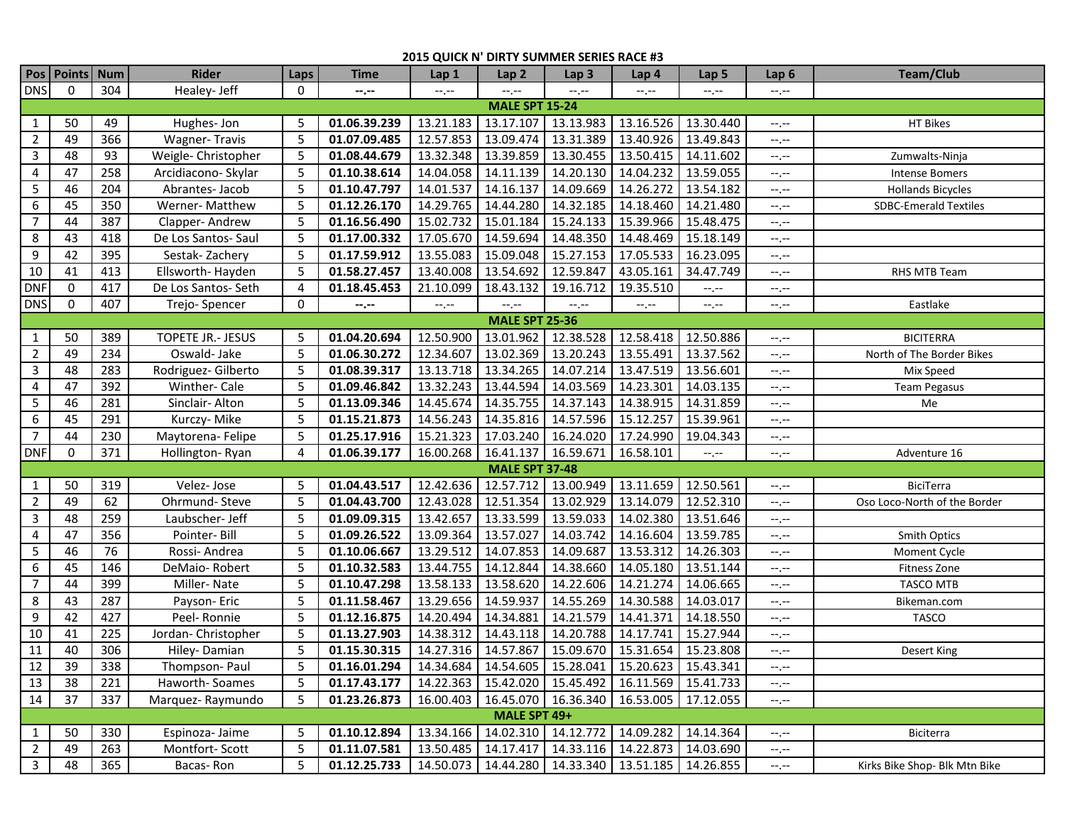## **2015 QUICK N' DIRTY SUMMER SERIES RACE #3**

|                       | Pos   Points   Num |     | <b>Rider</b>         | Laps | <b>Time</b>  | Lap 1     | Lap <sub>2</sub>                                          | Lap <sub>3</sub>                              | Lap 4               | Lap <sub>5</sub> | Lap 6       | <b>Team/Club</b>              |
|-----------------------|--------------------|-----|----------------------|------|--------------|-----------|-----------------------------------------------------------|-----------------------------------------------|---------------------|------------------|-------------|-------------------------------|
| <b>DNS</b>            | $\Omega$           | 304 | Healey- Jeff         | 0    | $-2 - 1$     | $-1, -1$  | $-1, -1$                                                  | $-1, -1$                                      | $-1, -1$            | $-1$ , $-1$      | $-1, -1$    |                               |
| <b>MALE SPT 15-24</b> |                    |     |                      |      |              |           |                                                           |                                               |                     |                  |             |                               |
| 1                     | 50                 | 49  | Hughes-Jon           | 5    | 01.06.39.239 | 13.21.183 | 13.17.107                                                 | 13.13.983                                     | 13.16.526           | 13.30.440        | $-1, -1$    | HT Bikes                      |
| $\overline{2}$        | 49                 | 366 | <b>Wagner-Travis</b> | 5    | 01.07.09.485 | 12.57.853 | 13.09.474                                                 | 13.31.389                                     | 13.40.926           | 13.49.843        | $-1, -1$    |                               |
| $\mathbf{3}$          | 48                 | 93  | Weigle- Christopher  | 5    | 01.08.44.679 | 13.32.348 | 13.39.859                                                 | 13.30.455                                     | 13.50.415           | 14.11.602        | $-1, -1$    | Zumwalts-Ninja                |
| 4                     | 47                 | 258 | Arcidiacono- Skylar  | 5    | 01.10.38.614 | 14.04.058 | 14.11.139                                                 | 14.20.130                                     | 14.04.232           | 13.59.055        | --.--       | <b>Intense Bomers</b>         |
| $5\phantom{.0}$       | 46                 | 204 | Abrantes-Jacob       | 5    | 01.10.47.797 | 14.01.537 | 14.16.137                                                 | 14.09.669                                     | 14.26.272           | 13.54.182        | $-1$ , $-1$ | <b>Hollands Bicycles</b>      |
| 6                     | 45                 | 350 | Werner- Matthew      | 5    | 01.12.26.170 | 14.29.765 | 14.44.280                                                 | 14.32.185                                     | 14.18.460           | 14.21.480        | --.--       | <b>SDBC-Emerald Textiles</b>  |
| $\overline{7}$        | 44                 | 387 | Clapper-Andrew       | 5    | 01.16.56.490 | 15.02.732 | 15.01.184                                                 | 15.24.133                                     | 15.39.966           | 15.48.475        | --.--       |                               |
| 8                     | 43                 | 418 | De Los Santos-Saul   | 5    | 01.17.00.332 | 17.05.670 | 14.59.694                                                 | 14.48.350                                     | 14.48.469           | 15.18.149        | --.--       |                               |
| 9                     | 42                 | 395 | Sestak-Zachery       | 5    | 01.17.59.912 | 13.55.083 | 15.09.048                                                 | 15.27.153                                     | 17.05.533           | 16.23.095        | --.--       |                               |
| 10                    | 41                 | 413 | Ellsworth-Hayden     | 5    | 01.58.27.457 | 13.40.008 | 13.54.692                                                 | 12.59.847                                     | 43.05.161           | 34.47.749        | --.--       | RHS MTB Team                  |
| <b>DNF</b>            | $\mathbf 0$        | 417 | De Los Santos-Seth   | 4    | 01.18.45.453 | 21.10.099 | 18.43.132                                                 | 19.16.712                                     | 19.35.510           | $-1$             | --.--       |                               |
| <b>DNS</b>            | $\mathbf 0$        | 407 | Trejo-Spencer        | 0    | --.--        | $-1, -1$  | $-1, -1$                                                  | $-1, -1$                                      | $-1, -1$            | $-1, -1$         | $-1, -1$    | Eastlake                      |
| <b>MALE SPT 25-36</b> |                    |     |                      |      |              |           |                                                           |                                               |                     |                  |             |                               |
| 1                     | 50                 | 389 | TOPETE JR.- JESUS    | 5    | 01.04.20.694 | 12.50.900 | 13.01.962                                                 | 12.38.528                                     | 12.58.418           | 12.50.886        | $-1, -1$    | <b>BICITERRA</b>              |
| $\overline{2}$        | 49                 | 234 | Oswald-Jake          | 5    | 01.06.30.272 | 12.34.607 | 13.02.369                                                 | 13.20.243                                     | 13.55.491           | 13.37.562        | $-1$        | North of The Border Bikes     |
| $\mathbf{3}$          | 48                 | 283 | Rodriguez- Gilberto  | 5    | 01.08.39.317 | 13.13.718 | 13.34.265                                                 | 14.07.214                                     | 13.47.519           | 13.56.601        | --.--       | Mix Speed                     |
| 4                     | 47                 | 392 | Winther-Cale         | 5    | 01.09.46.842 | 13.32.243 | 13.44.594                                                 | 14.03.569                                     | 14.23.301           | 14.03.135        | $-1, -1$    | Team Pegasus                  |
| 5                     | 46                 | 281 | Sinclair-Alton       | 5    | 01.13.09.346 | 14.45.674 | 14.35.755                                                 | 14.37.143                                     | 14.38.915           | 14.31.859        | $-1, -1$    | Me                            |
| 6                     | 45                 | 291 | Kurczy- Mike         | 5    | 01.15.21.873 | 14.56.243 | 14.35.816                                                 | 14.57.596                                     | 15.12.257           | 15.39.961        | $-1, -1$    |                               |
| $\overline{7}$        | 44                 | 230 | Maytorena- Felipe    | 5    | 01.25.17.916 | 15.21.323 | 17.03.240                                                 | 16.24.020                                     | 17.24.990           | 19.04.343        | --.--       |                               |
| <b>DNF</b>            | $\mathbf 0$        | 371 | Hollington-Ryan      | 4    | 01.06.39.177 | 16.00.268 | 16.41.137                                                 | 16.59.671                                     | 16.58.101           | $-1, -1$         | --.--       | Adventure 16                  |
|                       |                    |     |                      |      |              |           | <b>MALE SPT 37-48</b>                                     |                                               |                     |                  |             |                               |
| 1                     | 50                 | 319 | Velez-Jose           | 5    | 01.04.43.517 | 12.42.636 |                                                           | 12.57.712 13.00.949                           | 13.11.659           | 12.50.561        | --.--       | BiciTerra                     |
| $\overline{2}$        | 49                 | 62  | Ohrmund-Steve        | 5    | 01.04.43.700 | 12.43.028 | 12.51.354                                                 | 13.02.929                                     | 13.14.079           | 12.52.310        | $-1, -1$    | Oso Loco-North of the Border  |
| $\mathbf{3}$          | 48                 | 259 | Laubscher- Jeff      | 5    | 01.09.09.315 | 13.42.657 | 13.33.599                                                 | 13.59.033                                     | 14.02.380           | 13.51.646        | $-1, -1$    |                               |
| 4                     | 47                 | 356 | Pointer-Bill         | 5    | 01.09.26.522 | 13.09.364 | 13.57.027                                                 | 14.03.742                                     | 14.16.604           | 13.59.785        | $-1, -1$    | Smith Optics                  |
| $5\phantom{.0}$       | 46                 | 76  | Rossi-Andrea         | 5    | 01.10.06.667 | 13.29.512 | 14.07.853                                                 | 14.09.687                                     | 13.53.312           | 14.26.303        | $-1, -1$    | Moment Cycle                  |
| 6                     | 45                 | 146 | DeMaio-Robert        | 5    | 01.10.32.583 | 13.44.755 | 14.12.844                                                 | 14.38.660                                     | 14.05.180           | 13.51.144        | $-1, -1$    | Fitness Zone                  |
| $\overline{7}$        | 44                 | 399 | Miller-Nate          | 5    | 01.10.47.298 | 13.58.133 | 13.58.620                                                 | 14.22.606                                     | 14.21.274           | 14.06.665        | $-1, -1$    | <b>TASCO MTB</b>              |
| $\bf 8$               | 43                 | 287 | Payson- Eric         | 5    | 01.11.58.467 | 13.29.656 | 14.59.937                                                 | 14.55.269                                     | 14.30.588           | 14.03.017        | $-1, -1$    | Bikeman.com                   |
| 9                     | 42                 | 427 | Peel-Ronnie          | 5    | 01.12.16.875 | 14.20.494 | 14.34.881                                                 | 14.21.579                                     | 14.41.371           | 14.18.550        | $-1, -1$    | <b>TASCO</b>                  |
| $10\,$                | 41                 | 225 | Jordan-Christopher   | 5    | 01.13.27.903 | 14.38.312 | 14.43.118                                                 | 14.20.788                                     | 14.17.741           | 15.27.944        | --.--       |                               |
| 11                    | 40                 | 306 | Hiley-Damian         | 5    | 01.15.30.315 |           | 14.27.316 14.57.867                                       | 15.09.670   15.31.654   15.23.808             |                     |                  | $-1$        | Desert King                   |
| 12                    | 39                 | 338 | Thompson-Paul        | 5    | 01.16.01.294 |           | 14.34.684 14.54.605 15.28.041 15.20.623 15.43.341         |                                               |                     |                  | --.--       |                               |
| 13                    | 38                 | 221 | Haworth-Soames       | 5    | 01.17.43.177 |           | 14.22.363   15.42.020   15.45.492   16.11.569   15.41.733 |                                               |                     |                  | $-1, -1$    |                               |
| 14                    | 37                 | 337 | Marquez-Raymundo     | 5    | 01.23.26.873 |           | 16.00.403   16.45.070   16.36.340   16.53.005   17.12.055 |                                               |                     |                  | $-1, -1$    |                               |
|                       |                    |     |                      |      |              |           | MALE SPT 49+                                              |                                               |                     |                  |             |                               |
| $\mathbf{1}$          | 50                 | 330 | Espinoza- Jaime      | 5    | 01.10.12.894 | 13.34.166 |                                                           | 14.02.310 14.12.772                           | 14.09.282 14.14.364 |                  | $-1, -1$    | Biciterra                     |
| $\overline{2}$        | 49                 | 263 | Montfort-Scott       | 5    | 01.11.07.581 | 13.50.485 |                                                           | 14.17.417 14.33.116 14.22.873 14.03.690       |                     |                  | $-1, -1$    |                               |
| $\overline{3}$        | 48                 | 365 | Bacas-Ron            | 5    | 01.12.25.733 | 14.50.073 |                                                           | 14.44.280   14.33.340   13.51.185   14.26.855 |                     |                  | $-1, -1$    | Kirks Bike Shop- Blk Mtn Bike |